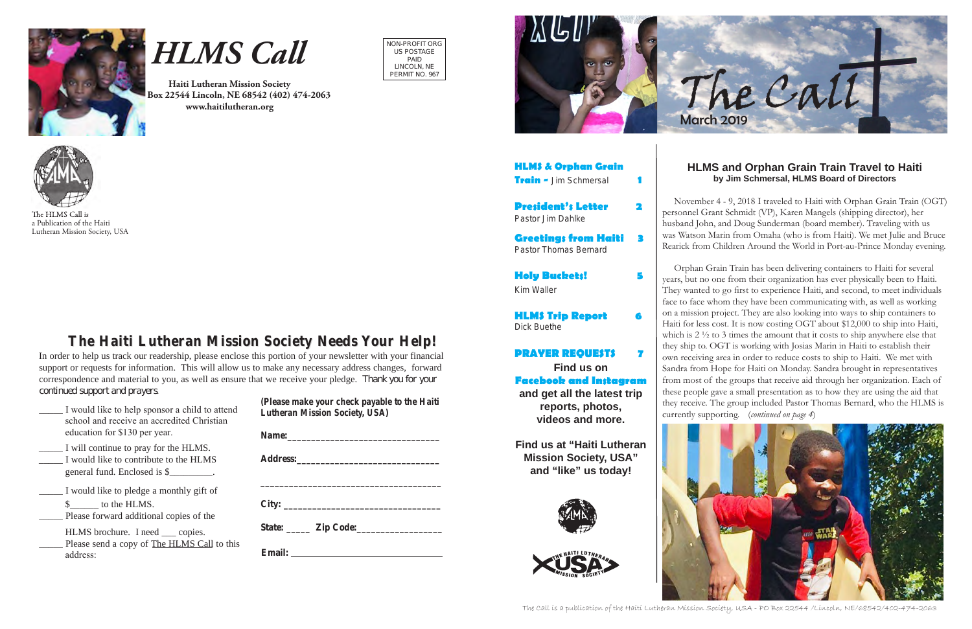NON-PROFIT ORG US POSTAGE PAID LINCOLN, NE PERMIT NO. 967



# *HLMS Call*

The HLMS Call is a Publication of the Haiti Lutheran Mission Society, USA

**Haiti Lutheran Mission Society P.O. Box 22544 Lincoln, NE 68542 (402) 474-2063 www.haitilutheran.org**



# **The Haiti Lutheran Mission Society Needs Your Help! The Haiti Lutheran Mission Society Needs Your Help!**

In order to help us track our readership, please enclose this portion of your newsletter with your financial support or requests for information. This will allow us to make any necessary address changes, forward correspondence and material to you, as well as ensure that we receive your pledge. *Thank you for your continued support and prayers.*

\_\_\_\_\_ I would like to help sponsor a child to attend school and receive an accredited Christian education for \$130 per year. \_\_\_\_\_ I will continue to pray for the HLMS. I would like to contribute to the HLMS general fund. Enclosed is \$ I would like to pledge a monthly gift of \$\_\_\_\_\_\_ to the HLMS. Please forward additional copies of the HLMS brochure. I need \_\_\_ copies. Please send a copy of The HLMS Call to this address: *(Please make your check payable to the Haiti Lutheran Mission Society, USA)* **Name:\_\_\_\_\_\_\_\_\_\_\_\_\_\_\_\_\_\_\_\_\_\_\_\_\_\_\_\_\_\_\_\_ Address:\_\_\_\_\_\_\_\_\_\_\_\_\_\_\_\_\_\_\_\_\_\_\_\_\_\_\_\_\_\_ \_\_\_\_\_\_\_\_\_\_\_\_\_\_\_\_\_\_\_\_\_\_\_\_\_\_\_\_\_\_\_\_\_\_\_\_\_\_ City: \_\_\_\_\_\_\_\_\_\_\_\_\_\_\_\_\_\_\_\_\_\_\_\_\_\_\_\_\_\_\_\_\_** State: <u>Zip Code:</u> **Email:**

The Call is a publication of the Haiti Lutheran Mission Society, USA - PO Box 22544 /Lincoln, NE/68542/402-474-2063

**HLMS & Orphan Grain Train -** Jim Schmersal **1**

**President's Letter 2** Pastor Jim Dahlke

**Greetings from Haiti 3** Pastor Thomas Bernard

**Holy Buckets! 5** Kim Waller

**HLMS Trip Report 6** Dick Buethe

#### **PRAYER REQUESTS 7**



#### **HLMS and Orphan Grain Train Travel to Haiti by Jim Schmersal, HLMS Board of Directors**

 November 4 - 9, 2018 I traveled to Haiti with Orphan Grain Train (OGT) personnel Grant Schmidt (VP), Karen Mangels (shipping director), her husband John, and Doug Sunderman (board member). Traveling with us was Watson Marin from Omaha (who is from Haiti). We met Julie and Bruce Rearick from Children Around the World in Port-au-Prince Monday evening.

 **Facebook and Instagram Find us on and get all the latest trip reports, photos, videos and more.**

 Orphan Grain Train has been delivering containers to Haiti for several years, but no one from their organization has ever physically been to Haiti. They wanted to go first to experience Haiti, and second, to meet individuals face to face whom they have been communicating with, as well as working on a mission project. They are also looking into ways to ship containers to Haiti for less cost. It is now costing OGT about \$12,000 to ship into Haiti, which is 2  $\frac{1}{2}$  to 3 times the amount that it costs to ship anywhere else that they ship to. OGT is working with Josias Marin in Haiti to establish their own receiving area in order to reduce costs to ship to Haiti. We met with Sandra from Hope for Haiti on Monday. Sandra brought in representatives from most of the groups that receive aid through her organization. Each of these people gave a small presentation as to how they are using the aid that they receive. The group included Pastor Thomas Bernard, who the HLMS is currently supporting. (*continued on page 4*)



**Find us at "Haiti Lutheran Mission Society, USA" and "like" us today!**



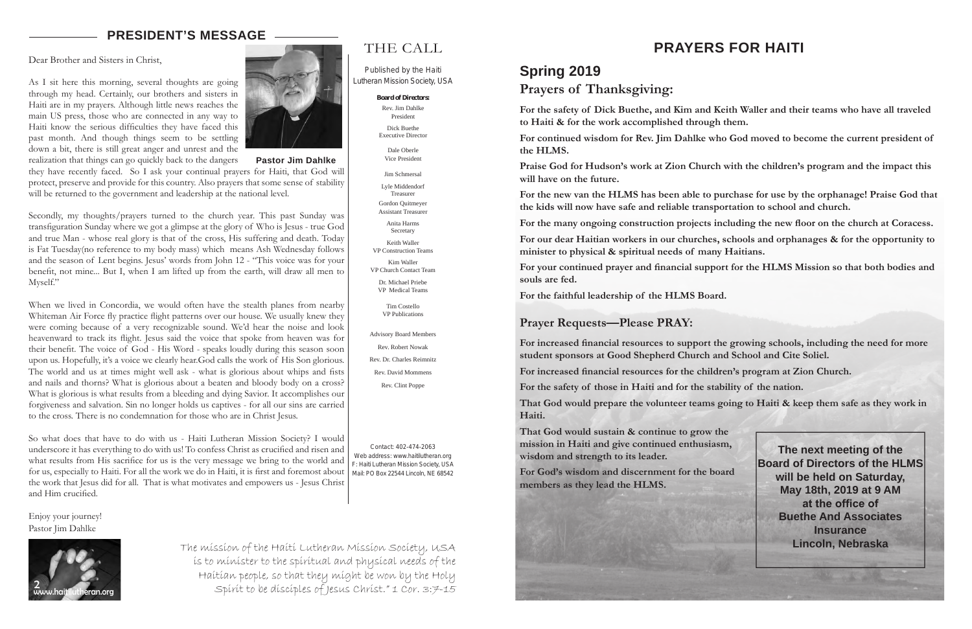

### THE CALL

Published by the Haiti Lutheran Mission Society, USA

**Board of Directors:**

Rev. Jim Dahlke President Dick Buethe Executive Director

Dale Oberle Vice President

Jim Schmersal

Lyle Middendorf Treasurer

Gordon Quitmeyer Assistant Treasurer

Anita Harms Secretary

Keith Waller VP Construction Teams

Kim Waller VP Church Contact Team Dr. Michael Priebe

VP Medical Teams

Tim Costello VP Publications

Advisory Board Members Rev. Robert Nowak

Rev. Dr. Charles Reimnitz Rev. David Mommens

Rev. Clint Poppe

Contact: 402-474-2063 Web address: www.haitilutheran.org F: Haiti Lutheran Mission Society, USA Mail: PO Box 22544 Lincoln, NE 68542

#### **PRESIDENT'S MESSAGE**

Dear Brother and Sisters in Christ,

As I sit here this morning, several thoughts are going through my head. Certainly, our brothers and sisters in Haiti are in my prayers. Although little news reaches the main US press, those who are connected in any way to Haiti know the serious difficulties they have faced this past month. And though things seem to be settling down a bit, there is still great anger and unrest and the realization that things can go quickly back to the dangers



they have recently faced. So I ask your continual prayers for Haiti, that God will protect, preserve and provide for this country. Also prayers that some sense of stability will be returned to the government and leadership at the national level.

Secondly, my thoughts/prayers turned to the church year. This past Sunday was transfiguration Sunday where we got a glimpse at the glory of Who is Jesus - true God and true Man - whose real glory is that of the cross, His suffering and death. Today is Fat Tuesday(no reference to my body mass) which means Ash Wednesday follows and the season of Lent begins. Jesus' words from John 12 - "This voice was for your benefit, not mine... But I, when I am lifted up from the earth, will draw all men to Myself."

When we lived in Concordia, we would often have the stealth planes from nearby Whiteman Air Force fly practice flight patterns over our house. We usually knew they were coming because of a very recognizable sound. We'd hear the noise and look heavenward to track its flight. Jesus said the voice that spoke from heaven was for their benefit. The voice of God - His Word - speaks loudly during this season soon upon us. Hopefully, it's a voice we clearly hear.God calls the work of His Son glorious. The world and us at times might well ask - what is glorious about whips and fists and nails and thorns? What is glorious about a beaten and bloody body on a cross? What is glorious is what results from a bleeding and dying Savior. It accomplishes our forgiveness and salvation. Sin no longer holds us captives - for all our sins are carried to the cross. There is no condemnation for those who are in Christ Jesus.

So what does that have to do with us - Haiti Lutheran Mission Society? I would underscore it has everything to do with us! To confess Christ as crucified and risen and what results from His sacrifice for us is the very message we bring to the world and for us, especially to Haiti. For all the work we do in Haiti, it is first and foremost about the work that Jesus did for all. That is what motivates and empowers us - Jesus Christ and Him crucified.

Enjoy your journey! Pastor Jim Dahlke

> The mission of the Haiti Lutheran Mission Society, USA is to minister to the spiritual and physical needs of the Haitian people, so that they might be won by the Holy Spirit to be disciples of Jesus Christ." 1 Cor. 3:7-15

**Pastor Jim Dahlke**

## **Spring 2019 Prayers of Thanksgiving:**

**to Haiti & for the work accomplished through them.** 

**the HLMS.**

**will have on the future.**

- **For the safety of Dick Buethe, and Kim and Keith Waller and their teams who have all traveled**
- **For continued wisdom for Rev. Jim Dahlke who God moved to become the current president of**
- **Praise God for Hudson's work at Zion Church with the children's program and the impact this**
- **For the new van the HLMS has been able to purchase for use by the orphanage! Praise God that**
- **For the many ongoing construction projects including the new floor on the church at Coracess.**
- **For our dear Haitian workers in our churches, schools and orphanages & for the opportunity to**
- **For your continued prayer and financial support for the HLMS Mission so that both bodies and**

**the kids will now have safe and reliable transportation to school and church.**

**minister to physical & spiritual needs of many Haitians.**

**souls are fed.**

**For the faithful leadership of the HLMS Board.**

#### **Prayer Requests—Please PRAY:**

**student sponsors at Good Shepherd Church and School and Cite Soliel.**

- **For increased financial resources to support the growing schools, including the need for more** 
	-
	-
- **That God would prepare the volunteer teams going to Haiti & keep them safe as they work in**

**For increased financial resources for the children's program at Zion Church.** 

**For the safety of those in Haiti and for the stability of the nation.**

**Haiti.**

**That God would sustain & continue to grow the mission in Haiti and give continued enthusiasm, wisdom and strength to its leader.**

**For God's wisdom and discernment for the board members as they lead the HLMS.** 



**The next meeting of the Board of Directors of the HLMS will be held on Saturday, May 18th, 2019 at 9 AM at the office of Buethe And Associates Insurance Lincoln, Nebraska**

# **PRAYERS FOR HAITI**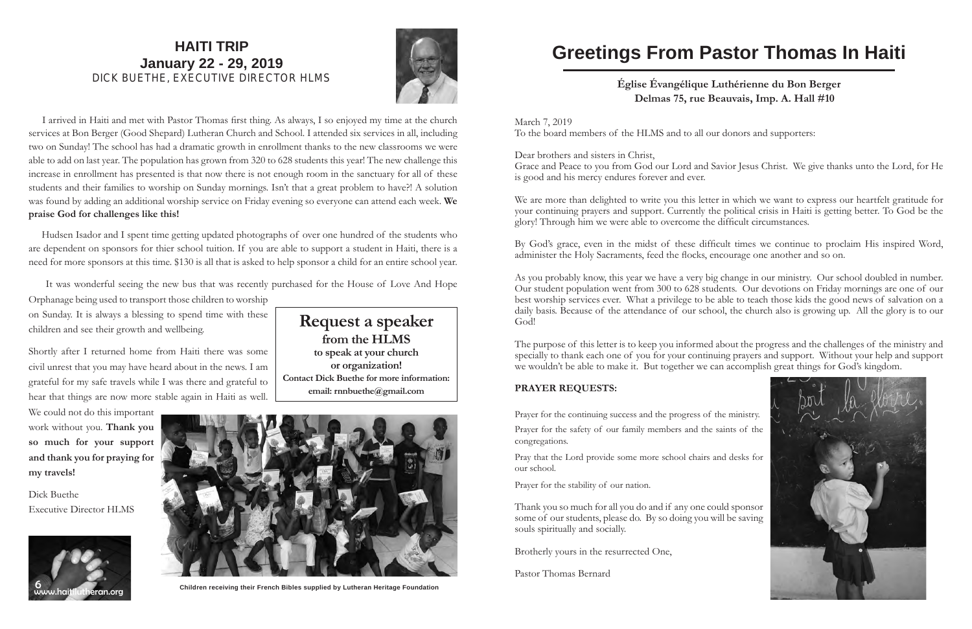

#### **HAITI TRIP January 22 - 29, 2019** DICK BUETHE, EXECUTIVE DIRECTOR HLMS



 I arrived in Haiti and met with Pastor Thomas first thing. As always, I so enjoyed my time at the church services at Bon Berger (Good Shepard) Lutheran Church and School. I attended six services in all, including two on Sunday! The school has had a dramatic growth in enrollment thanks to the new classrooms we were able to add on last year. The population has grown from 320 to 628 students this year! The new challenge this increase in enrollment has presented is that now there is not enough room in the sanctuary for all of these students and their families to worship on Sunday mornings. Isn't that a great problem to have?! A solution was found by adding an additional worship service on Friday evening so everyone can attend each week. **We praise God for challenges like this!**

 Hudsen Isador and I spent time getting updated photographs of over one hundred of the students who are dependent on sponsors for thier school tuition. If you are able to support a student in Haiti, there is a need for more sponsors at this time. \$130 is all that is asked to help sponsor a child for an entire school year.

It was wonderful seeing the new bus that was recently purchased for the House of Love And Hope

Orphanage being used to transport those children to worship on Sunday. It is always a blessing to spend time with these children and see their growth and wellbeing.

We are more than delighted to write you this letter in which we want to express our heartfelt gratitude for your continuing prayers and support. Currently the political crisis in Haiti is getting better. To God be the glory! Through him we were able to overcome the difficult circumstances.

Shortly after I returned home from Haiti there was some civil unrest that you may have heard about in the news. I am grateful for my safe travels while I was there and grateful to hear that things are now more stable again in Haiti as well.

We could not do this important work without you. **Thank you so much for your support and thank you for praying for my travels!**

Dick Buethe Executive Director HLMS

# **Request a speaker**

**from the HLMS to speak at your church or organization! Contact Dick Buethe for more information: email: rnnbuethe@gmail.com**



**Children receiving their French Bibles supplied by Lutheran Heritage Foundation**

# **Greetings From Pastor Thomas In Haiti**

#### **Église Évangélique Luthérienne du Bon Berger Delmas 75, rue Beauvais, Imp. A. Hall #10**



March 7, 2019 To the board members of the HLMS and to all our donors and supporters:

Dear brothers and sisters in Christ, Grace and Peace to you from God our Lord and Savior Jesus Christ. We give thanks unto the Lord, for He is good and his mercy endures forever and ever.

By God's grace, even in the midst of these difficult times we continue to proclaim His inspired Word, administer the Holy Sacraments, feed the flocks, encourage one another and so on.

As you probably know, this year we have a very big change in our ministry. Our school doubled in number. Our student population went from 300 to 628 students. Our devotions on Friday mornings are one of our best worship services ever. What a privilege to be able to teach those kids the good news of salvation on a daily basis. Because of the attendance of our school, the church also is growing up. All the glory is to our God!

The purpose of this letter is to keep you informed about the progress and the challenges of the ministry and specially to thank each one of you for your continuing prayers and support. Without your help and support we wouldn't be able to make it. But together we can accomplish great things for God's kingdom.

#### **PRAYER REQUESTS:**

Prayer for the continuing success and the progress of the ministry. Prayer for the safety of our family members and the saints of the congregations.

Pray that the Lord provide some more school chairs and desks for our school.

Prayer for the stability of our nation.

Thank you so much for all you do and if any one could sponsor some of our students, please do. By so doing you will be saving souls spiritually and socially.

Brotherly yours in the resurrected One,

Pastor Thomas Bernard